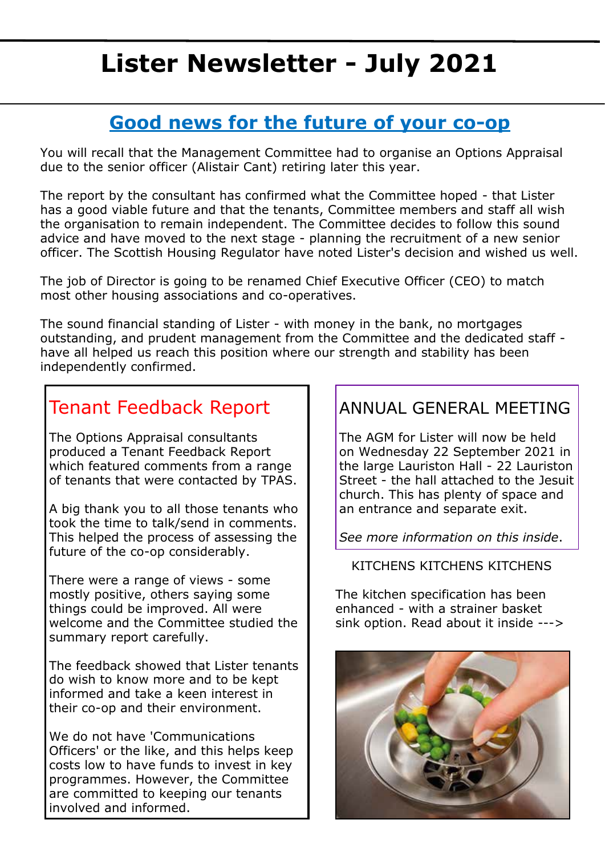# **Lister Newsletter - July 2021**

# **Good news for the future of your co-op**

You will recall that the Management Committee had to organise an Options Appraisal due to the senior officer (Alistair Cant) retiring later this year.

The report by the consultant has confirmed what the Committee hoped - that Lister has a good viable future and that the tenants, Committee members and staff all wish the organisation to remain independent. The Committee decides to follow this sound advice and have moved to the next stage - planning the recruitment of a new senior officer. The Scottish Housing Regulator have noted Lister's decision and wished us well.

The job of Director is going to be renamed Chief Executive Officer (CEO) to match most other housing associations and co-operatives.

The sound financial standing of Lister - with money in the bank, no mortgages outstanding, and prudent management from the Committee and the dedicated staff have all helped us reach this position where our strength and stability has been independently confirmed.

# Tenant Feedback Report

The Options Appraisal consultants produced a Tenant Feedback Report which featured comments from a range of tenants that were contacted by TPAS.

A big thank you to all those tenants who took the time to talk/send in comments. This helped the process of assessing the future of the co-op considerably.

There were a range of views - some mostly positive, others saying some things could be improved. All were welcome and the Committee studied the summary report carefully.

The feedback showed that Lister tenants do wish to know more and to be kept informed and take a keen interest in their co-op and their environment.

We do not have 'Communications Officers' or the like, and this helps keep costs low to have funds to invest in key programmes. However, the Committee are committed to keeping our tenants involved and informed.

## ANNUAL GENERAL MEETING

The AGM for Lister will now be held on Wednesday 22 September 2021 in the large Lauriston Hall - 22 Lauriston Street - the hall attached to the Jesuit church. This has plenty of space and an entrance and separate exit.

*See more information on this inside*.

#### KITCHENS KITCHENS KITCHENS

The kitchen specification has been enhanced - with a strainer basket sink option. Read about it inside --->

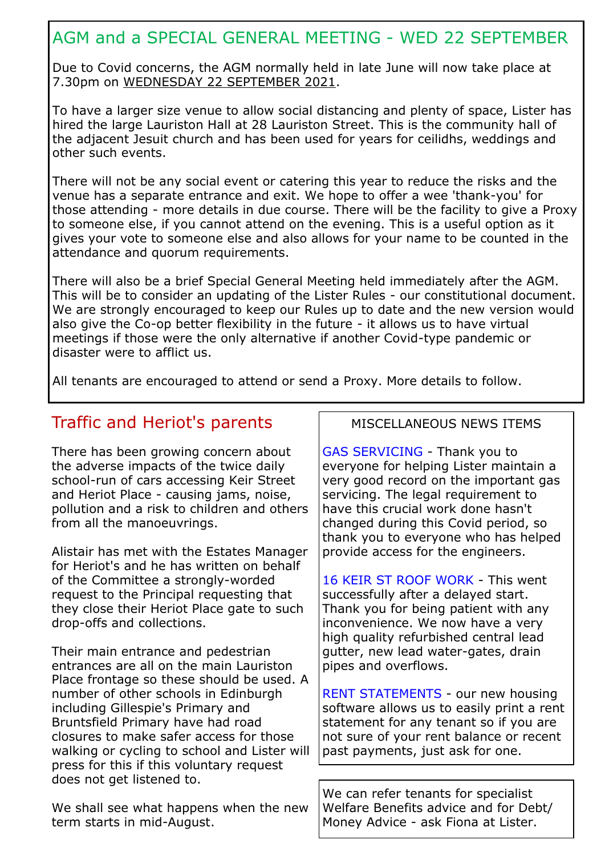## AGM and a SPECIAL GENERAL MEETING - WED 22 SEPTEMBER

Due to Covid concerns, the AGM normally held in late June will now take place at 7.30pm on WEDNESDAY 22 SEPTEMBER 2021.

To have a larger size venue to allow social distancing and plenty of space, Lister has hired the large Lauriston Hall at 28 Lauriston Street. This is the community hall of the adjacent Jesuit church and has been used for years for ceilidhs, weddings and other such events.

There will not be any social event or catering this year to reduce the risks and the venue has a separate entrance and exit. We hope to offer a wee 'thank-you' for those attending - more details in due course. There will be the facility to give a Proxy to someone else, if you cannot attend on the evening. This is a useful option as it gives your vote to someone else and also allows for your name to be counted in the attendance and quorum requirements.

There will also be a brief Special General Meeting held immediately after the AGM. This will be to consider an updating of the Lister Rules - our constitutional document. We are strongly encouraged to keep our Rules up to date and the new version would also give the Co-op better flexibility in the future - it allows us to have virtual meetings if those were the only alternative if another Covid-type pandemic or disaster were to afflict us.

All tenants are encouraged to attend or send a Proxy. More details to follow.

### Traffic and Heriot's parents

There has been growing concern about the adverse impacts of the twice daily school-run of cars accessing Keir Street and Heriot Place - causing jams, noise, pollution and a risk to children and others from all the manoeuvrings.

Alistair has met with the Estates Manager for Heriot's and he has written on behalf of the Committee a strongly-worded request to the Principal requesting that they close their Heriot Place gate to such drop-offs and collections.

Their main entrance and pedestrian entrances are all on the main Lauriston Place frontage so these should be used. A number of other schools in Edinburgh including Gillespie's Primary and Bruntsfield Primary have had road closures to make safer access for those walking or cycling to school and Lister will press for this if this voluntary request does not get listened to.

We shall see what happens when the new term starts in mid-August.

#### MISCELLANEOUS NEWS ITEMS

GAS SERVICING - Thank you to everyone for helping Lister maintain a very good record on the important gas servicing. The legal requirement to have this crucial work done hasn't changed during this Covid period, so thank you to everyone who has helped provide access for the engineers.

16 KEIR ST ROOF WORK - This went successfully after a delayed start. Thank you for being patient with any inconvenience. We now have a very high quality refurbished central lead gutter, new lead water-gates, drain pipes and overflows.

RENT STATEMENTS - our new housing software allows us to easily print a rent statement for any tenant so if you are not sure of your rent balance or recent past payments, just ask for one.

We can refer tenants for specialist Welfare Benefits advice and for Debt/ Money Advice - ask Fiona at Lister.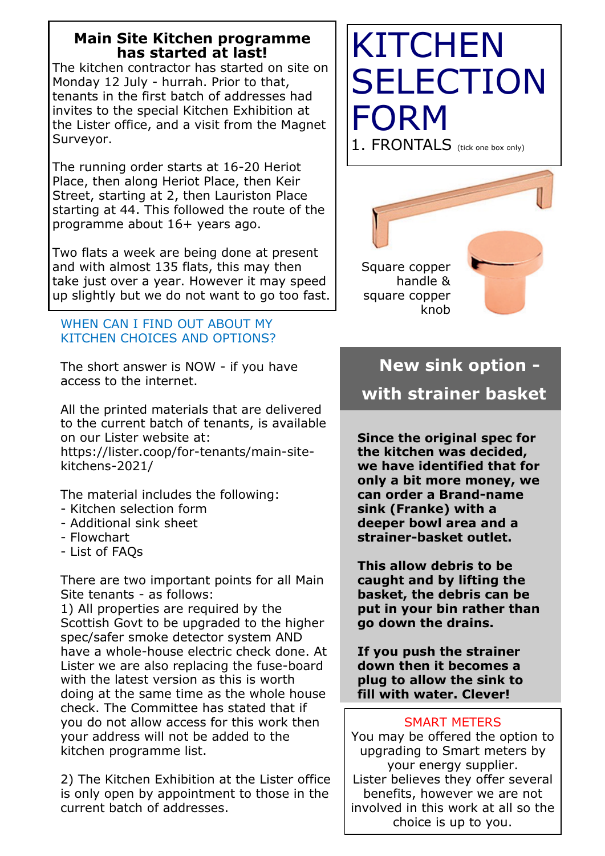#### **Main Site Kitchen programme has started at last!**

The kitchen contractor has started on site on Monday 12 July - hurrah. Prior to that, tenants in the first batch of addresses had invites to the special Kitchen Exhibition at the Lister office, and a visit from the Magnet Surveyor.

The running order starts at 16-20 Heriot Place, then along Heriot Place, then Keir Street, starting at 2, then Lauriston Place starting at 44. This followed the route of the programme about 16+ years ago.

Two flats a week are being done at present and with almost 135 flats, this may then take just over a year. However it may speed up slightly but we do not want to go too fast.

#### WHEN CAN I FIND OUT ABOUT MY KITCHEN CHOICES AND OPTIONS?

The short answer is NOW - if you have access to the internet.

All the printed materials that are delivered to the current batch of tenants, is available on our Lister website at:

https://lister.coop/for-tenants/main-sitekitchens-2021/

The material includes the following:

- Kitchen selection form
- Additional sink sheet
- Flowchart
- List of FAQs

There are two important points for all Main Site tenants - as follows:

1) All properties are required by the Scottish Govt to be upgraded to the higher spec/safer smoke detector system AND have a whole-house electric check done. At Lister we are also replacing the fuse-board with the latest version as this is worth doing at the same time as the whole house check. The Committee has stated that if you do not allow access for this work then your address will not be added to the kitchen programme list.

2) The Kitchen Exhibition at the Lister office is only open by appointment to those in the current batch of addresses.

# **KITCHEN SELECTION** FORM 1. FRONTALS (tick one box only)

Square copper handle & square copper



# **New sink option with strainer basket**

knob

**Since the original spec for the kitchen was decided, we have identified that for only a bit more money, we can order a Brand-name sink (Franke) with a deeper bowl area and a strainer-basket outlet.**

**This allow debris to be caught and by lifting the basket, the debris can be put in your bin rather than go down the drains.** 

**If you push the strainer down then it becomes a plug to allow the sink to fill with water. Clever!**

#### SMART METERS

You may be offered the option to upgrading to Smart meters by your energy supplier. Lister believes they offer several benefits, however we are not involved in this work at all so the choice is up to you.